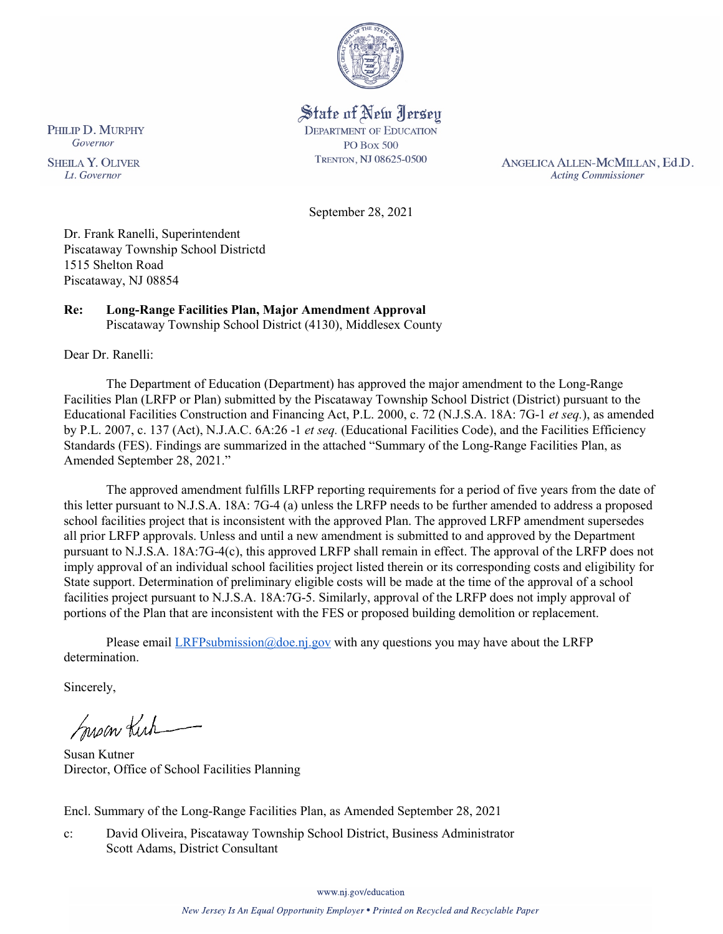

State of New Jersey **DEPARTMENT OF EDUCATION PO Box 500** TRENTON, NJ 08625-0500

ANGELICA ALLEN-MCMILLAN, Ed.D. **Acting Commissioner** 

September 28, 2021

Dr. Frank Ranelli, Superintendent Piscataway Township School Districtd 1515 Shelton Road Piscataway, NJ 08854

#### **Re: Long-Range Facilities Plan, Major Amendment Approval**  Piscataway Township School District (4130), Middlesex County

Dear Dr. Ranelli:

The Department of Education (Department) has approved the major amendment to the Long-Range Facilities Plan (LRFP or Plan) submitted by the Piscataway Township School District (District) pursuant to the Educational Facilities Construction and Financing Act, P.L. 2000, c. 72 (N.J.S.A. 18A: 7G-1 *et seq.*), as amended by P.L. 2007, c. 137 (Act), N.J.A.C. 6A:26 -1 *et seq.* (Educational Facilities Code), and the Facilities Efficiency Standards (FES). Findings are summarized in the attached "Summary of the Long-Range Facilities Plan, as Amended September 28, 2021."

The approved amendment fulfills LRFP reporting requirements for a period of five years from the date of this letter pursuant to N.J.S.A. 18A: 7G-4 (a) unless the LRFP needs to be further amended to address a proposed school facilities project that is inconsistent with the approved Plan. The approved LRFP amendment supersedes all prior LRFP approvals. Unless and until a new amendment is submitted to and approved by the Department pursuant to N.J.S.A. 18A:7G-4(c), this approved LRFP shall remain in effect. The approval of the LRFP does not imply approval of an individual school facilities project listed therein or its corresponding costs and eligibility for State support. Determination of preliminary eligible costs will be made at the time of the approval of a school facilities project pursuant to N.J.S.A. 18A:7G-5. Similarly, approval of the LRFP does not imply approval of portions of the Plan that are inconsistent with the FES or proposed building demolition or replacement.

Please email  $LRFP submission@doe.nj.gov$  with any questions you may have about the LRFP determination.

Sincerely,

Susan Kich

Susan Kutner Director, Office of School Facilities Planning

Encl. Summary of the Long-Range Facilities Plan, as Amended September 28, 2021

c: David Oliveira, Piscataway Township School District, Business Administrator Scott Adams, District Consultant

www.nj.gov/education

PHILIP D. MURPHY Governor

**SHEILA Y. OLIVER** Lt. Governor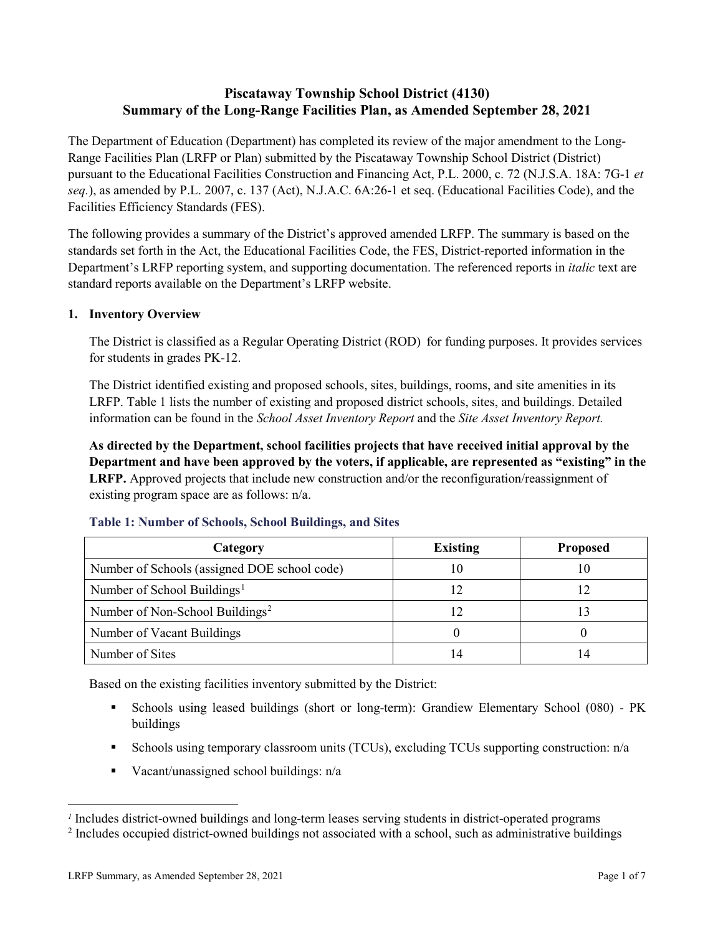# **Piscataway Township School District (4130) Summary of the Long-Range Facilities Plan, as Amended September 28, 2021**

The Department of Education (Department) has completed its review of the major amendment to the Long-Range Facilities Plan (LRFP or Plan) submitted by the Piscataway Township School District (District) pursuant to the Educational Facilities Construction and Financing Act, P.L. 2000, c. 72 (N.J.S.A. 18A: 7G-1 *et seq.*), as amended by P.L. 2007, c. 137 (Act), N.J.A.C. 6A:26-1 et seq. (Educational Facilities Code), and the Facilities Efficiency Standards (FES).

The following provides a summary of the District's approved amended LRFP. The summary is based on the standards set forth in the Act, the Educational Facilities Code, the FES, District-reported information in the Department's LRFP reporting system, and supporting documentation. The referenced reports in *italic* text are standard reports available on the Department's LRFP website.

## **1. Inventory Overview**

The District is classified as a Regular Operating District (ROD) for funding purposes. It provides services for students in grades PK-12.

The District identified existing and proposed schools, sites, buildings, rooms, and site amenities in its LRFP. Table 1 lists the number of existing and proposed district schools, sites, and buildings. Detailed information can be found in the *School Asset Inventory Report* and the *Site Asset Inventory Report.*

**As directed by the Department, school facilities projects that have received initial approval by the Department and have been approved by the voters, if applicable, are represented as "existing" in the LRFP.** Approved projects that include new construction and/or the reconfiguration/reassignment of existing program space are as follows: n/a.

| Category                                     | <b>Existing</b> | <b>Proposed</b> |
|----------------------------------------------|-----------------|-----------------|
| Number of Schools (assigned DOE school code) |                 | 10              |
| Number of School Buildings <sup>1</sup>      |                 |                 |
| Number of Non-School Buildings <sup>2</sup>  |                 |                 |
| Number of Vacant Buildings                   |                 |                 |
| Number of Sites                              |                 |                 |

#### **Table 1: Number of Schools, School Buildings, and Sites**

Based on the existing facilities inventory submitted by the District:

- Schools using leased buildings (short or long-term): Grandiew Elementary School (080) PK buildings
- Schools using temporary classroom units (TCUs), excluding TCUs supporting construction:  $n/a$
- Vacant/unassigned school buildings: n/a

 $\overline{a}$ 

<span id="page-1-1"></span><span id="page-1-0"></span>*<sup>1</sup>* Includes district-owned buildings and long-term leases serving students in district-operated programs

<sup>&</sup>lt;sup>2</sup> Includes occupied district-owned buildings not associated with a school, such as administrative buildings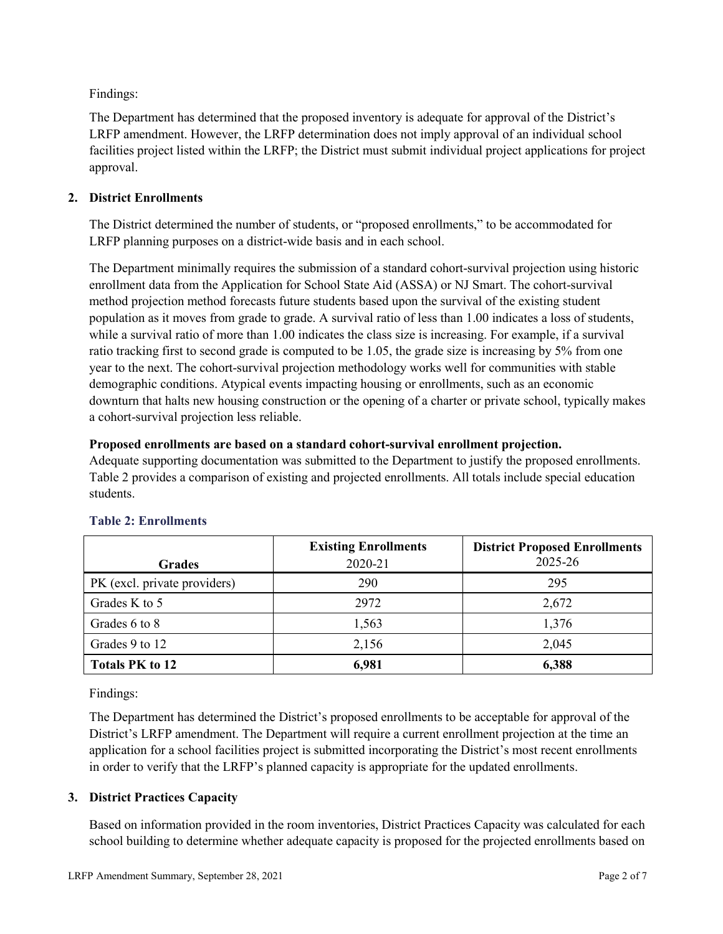Findings:

The Department has determined that the proposed inventory is adequate for approval of the District's LRFP amendment. However, the LRFP determination does not imply approval of an individual school facilities project listed within the LRFP; the District must submit individual project applications for project approval.

## **2. District Enrollments**

The District determined the number of students, or "proposed enrollments," to be accommodated for LRFP planning purposes on a district-wide basis and in each school.

The Department minimally requires the submission of a standard cohort-survival projection using historic enrollment data from the Application for School State Aid (ASSA) or NJ Smart. The cohort-survival method projection method forecasts future students based upon the survival of the existing student population as it moves from grade to grade. A survival ratio of less than 1.00 indicates a loss of students, while a survival ratio of more than 1.00 indicates the class size is increasing. For example, if a survival ratio tracking first to second grade is computed to be 1.05, the grade size is increasing by 5% from one year to the next. The cohort-survival projection methodology works well for communities with stable demographic conditions. Atypical events impacting housing or enrollments, such as an economic downturn that halts new housing construction or the opening of a charter or private school, typically makes a cohort-survival projection less reliable.

## **Proposed enrollments are based on a standard cohort-survival enrollment projection.**

Adequate supporting documentation was submitted to the Department to justify the proposed enrollments. Table 2 provides a comparison of existing and projected enrollments. All totals include special education students.

|                              | <b>Existing Enrollments</b> | <b>District Proposed Enrollments</b> |
|------------------------------|-----------------------------|--------------------------------------|
| <b>Grades</b>                | 2020-21                     | 2025-26                              |
| PK (excl. private providers) | 290                         | 295                                  |
| Grades K to 5                | 2972                        | 2,672                                |
| Grades 6 to 8                | 1,563                       | 1,376                                |
| Grades 9 to 12               | 2,156                       | 2,045                                |
| <b>Totals PK to 12</b>       | 6,981                       | 6,388                                |

# **Table 2: Enrollments**

Findings:

The Department has determined the District's proposed enrollments to be acceptable for approval of the District's LRFP amendment. The Department will require a current enrollment projection at the time an application for a school facilities project is submitted incorporating the District's most recent enrollments in order to verify that the LRFP's planned capacity is appropriate for the updated enrollments.

# **3. District Practices Capacity**

Based on information provided in the room inventories, District Practices Capacity was calculated for each school building to determine whether adequate capacity is proposed for the projected enrollments based on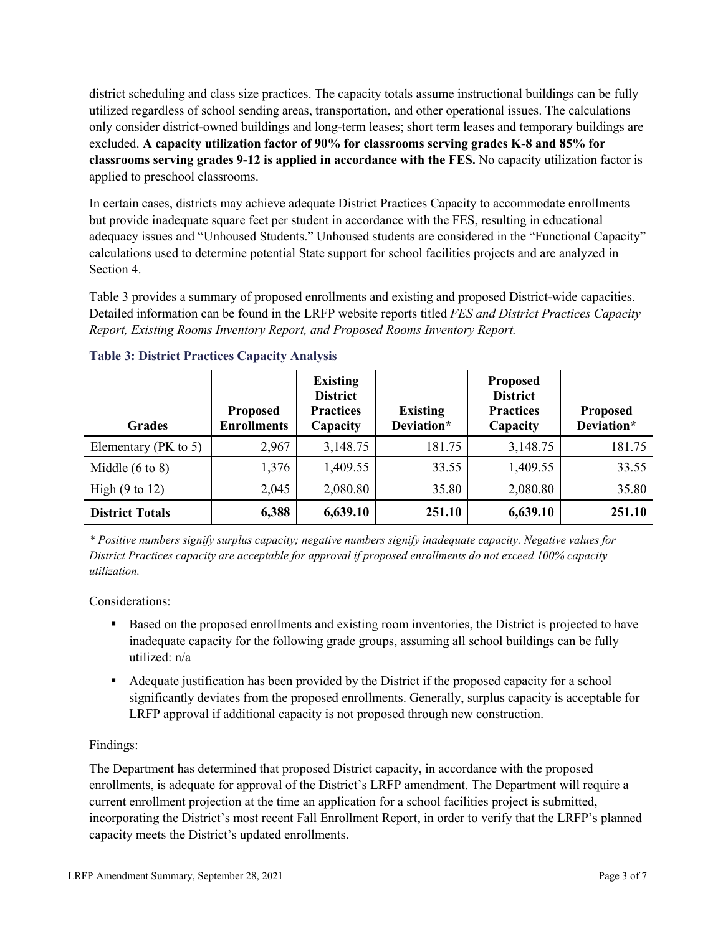district scheduling and class size practices. The capacity totals assume instructional buildings can be fully utilized regardless of school sending areas, transportation, and other operational issues. The calculations only consider district-owned buildings and long-term leases; short term leases and temporary buildings are excluded. **A capacity utilization factor of 90% for classrooms serving grades K-8 and 85% for classrooms serving grades 9-12 is applied in accordance with the FES.** No capacity utilization factor is applied to preschool classrooms.

In certain cases, districts may achieve adequate District Practices Capacity to accommodate enrollments but provide inadequate square feet per student in accordance with the FES, resulting in educational adequacy issues and "Unhoused Students." Unhoused students are considered in the "Functional Capacity" calculations used to determine potential State support for school facilities projects and are analyzed in Section 4.

Table 3 provides a summary of proposed enrollments and existing and proposed District-wide capacities. Detailed information can be found in the LRFP website reports titled *FES and District Practices Capacity Report, Existing Rooms Inventory Report, and Proposed Rooms Inventory Report.*

| <b>Grades</b>              | <b>Proposed</b><br><b>Enrollments</b> | <b>Existing</b><br><b>District</b><br><b>Practices</b><br>Capacity | <b>Existing</b><br>Deviation* | <b>Proposed</b><br><b>District</b><br><b>Practices</b><br>Capacity | <b>Proposed</b><br>Deviation* |
|----------------------------|---------------------------------------|--------------------------------------------------------------------|-------------------------------|--------------------------------------------------------------------|-------------------------------|
| Elementary ( $PK$ to 5)    | 2,967                                 | 3,148.75                                                           | 181.75                        | 3,148.75                                                           | 181.75                        |
| Middle $(6 \text{ to } 8)$ | 1,376                                 | 1,409.55                                                           | 33.55                         | 1,409.55                                                           | 33.55                         |
| High $(9 \text{ to } 12)$  | 2,045                                 | 2,080.80                                                           | 35.80                         | 2,080.80                                                           | 35.80                         |
| <b>District Totals</b>     | 6,388                                 | 6,639.10                                                           | 251.10                        | 6,639.10                                                           | 251.10                        |

## **Table 3: District Practices Capacity Analysis**

*\* Positive numbers signify surplus capacity; negative numbers signify inadequate capacity. Negative values for District Practices capacity are acceptable for approval if proposed enrollments do not exceed 100% capacity utilization.*

Considerations:

- Based on the proposed enrollments and existing room inventories, the District is projected to have inadequate capacity for the following grade groups, assuming all school buildings can be fully utilized: n/a
- Adequate justification has been provided by the District if the proposed capacity for a school significantly deviates from the proposed enrollments. Generally, surplus capacity is acceptable for LRFP approval if additional capacity is not proposed through new construction.

## Findings:

The Department has determined that proposed District capacity, in accordance with the proposed enrollments, is adequate for approval of the District's LRFP amendment. The Department will require a current enrollment projection at the time an application for a school facilities project is submitted, incorporating the District's most recent Fall Enrollment Report, in order to verify that the LRFP's planned capacity meets the District's updated enrollments.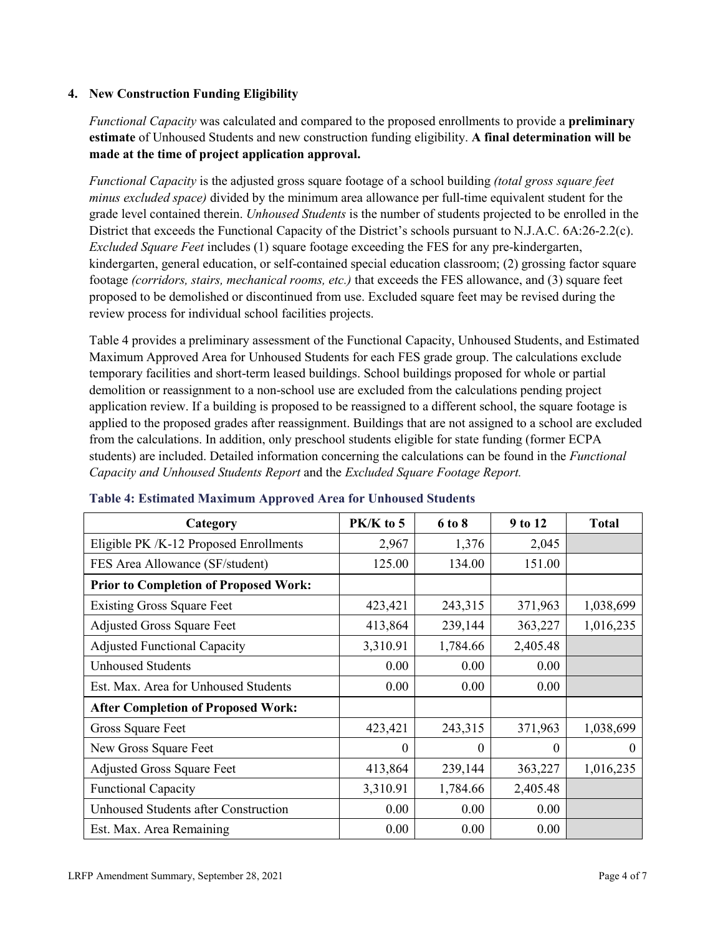#### **4. New Construction Funding Eligibility**

*Functional Capacity* was calculated and compared to the proposed enrollments to provide a **preliminary estimate** of Unhoused Students and new construction funding eligibility. **A final determination will be made at the time of project application approval.**

*Functional Capacity* is the adjusted gross square footage of a school building *(total gross square feet minus excluded space)* divided by the minimum area allowance per full-time equivalent student for the grade level contained therein. *Unhoused Students* is the number of students projected to be enrolled in the District that exceeds the Functional Capacity of the District's schools pursuant to N.J.A.C. 6A:26-2.2(c). *Excluded Square Feet* includes (1) square footage exceeding the FES for any pre-kindergarten, kindergarten, general education, or self-contained special education classroom; (2) grossing factor square footage *(corridors, stairs, mechanical rooms, etc.)* that exceeds the FES allowance, and (3) square feet proposed to be demolished or discontinued from use. Excluded square feet may be revised during the review process for individual school facilities projects.

Table 4 provides a preliminary assessment of the Functional Capacity, Unhoused Students, and Estimated Maximum Approved Area for Unhoused Students for each FES grade group. The calculations exclude temporary facilities and short-term leased buildings. School buildings proposed for whole or partial demolition or reassignment to a non-school use are excluded from the calculations pending project application review. If a building is proposed to be reassigned to a different school, the square footage is applied to the proposed grades after reassignment. Buildings that are not assigned to a school are excluded from the calculations. In addition, only preschool students eligible for state funding (former ECPA students) are included. Detailed information concerning the calculations can be found in the *Functional Capacity and Unhoused Students Report* and the *Excluded Square Footage Report.*

| Category                                     | PK/K to 5 | 6 to 8   | 9 to 12  | <b>Total</b> |
|----------------------------------------------|-----------|----------|----------|--------------|
| Eligible PK /K-12 Proposed Enrollments       | 2,967     | 1,376    | 2,045    |              |
| FES Area Allowance (SF/student)              | 125.00    | 134.00   | 151.00   |              |
| <b>Prior to Completion of Proposed Work:</b> |           |          |          |              |
| <b>Existing Gross Square Feet</b>            | 423,421   | 243,315  | 371,963  | 1,038,699    |
| <b>Adjusted Gross Square Feet</b>            | 413,864   | 239,144  | 363,227  | 1,016,235    |
| <b>Adjusted Functional Capacity</b>          | 3,310.91  | 1,784.66 | 2,405.48 |              |
| <b>Unhoused Students</b>                     | 0.00      | 0.00     | 0.00     |              |
| Est. Max. Area for Unhoused Students         | 0.00      | 0.00     | 0.00     |              |
| <b>After Completion of Proposed Work:</b>    |           |          |          |              |
| Gross Square Feet                            | 423,421   | 243,315  | 371,963  | 1,038,699    |
| New Gross Square Feet                        | $\theta$  | 0        | $\theta$ | $\Omega$     |
| <b>Adjusted Gross Square Feet</b>            | 413,864   | 239,144  | 363,227  | 1,016,235    |
| <b>Functional Capacity</b>                   | 3,310.91  | 1,784.66 | 2,405.48 |              |
| <b>Unhoused Students after Construction</b>  | 0.00      | 0.00     | 0.00     |              |
| Est. Max. Area Remaining                     | 0.00      | 0.00     | 0.00     |              |

#### **Table 4: Estimated Maximum Approved Area for Unhoused Students**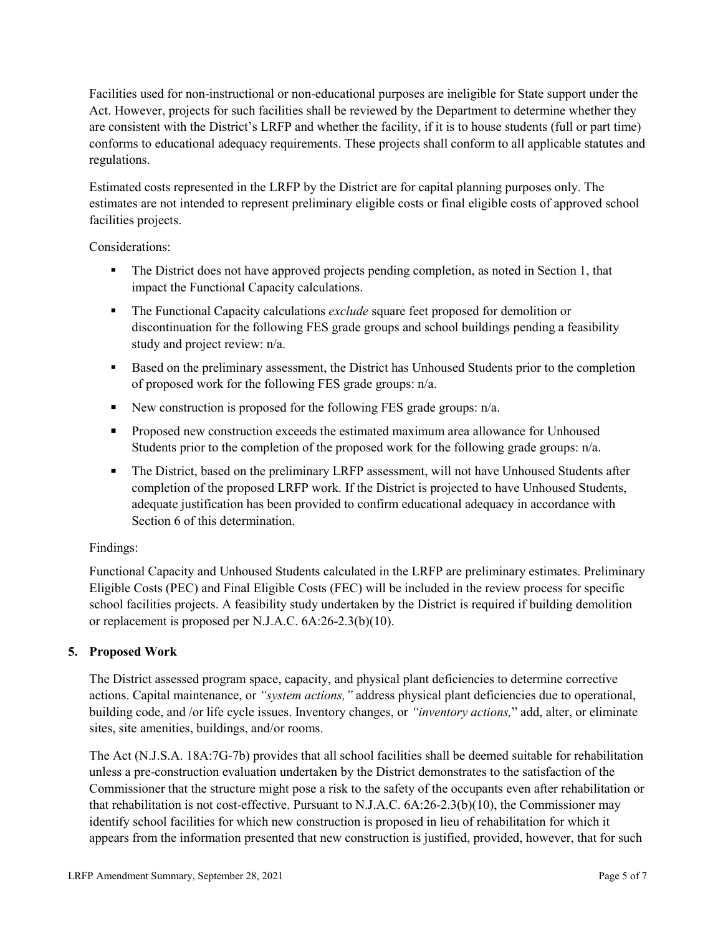Facilities used for non-instructional or non-educational purposes are ineligible for State support under the Act. However, projects for such facilities shall be reviewed by the Department to determine whether they are consistent with the District's LRFP and whether the facility, if it is to house students (full or part time) conforms to educational adequacy requirements. These projects shall conform to all applicable statutes and regulations.

Estimated costs represented in the LRFP by the District are for capital planning purposes only. The estimates are not intended to represent preliminary eligible costs or final eligible costs of approved school facilities projects.

Considerations:

- The District does not have approved projects pending completion, as noted in Section 1, that impact the Functional Capacity calculations.
- **The Functional Capacity calculations** *exclude* square feet proposed for demolition or discontinuation for the following FES grade groups and school buildings pending a feasibility study and project review: n/a.
- **Based on the preliminary assessment, the District has Unhoused Students prior to the completion** of proposed work for the following FES grade groups: n/a.
- New construction is proposed for the following FES grade groups: n/a.
- Proposed new construction exceeds the estimated maximum area allowance for Unhoused Students prior to the completion of the proposed work for the following grade groups: n/a.
- The District, based on the preliminary LRFP assessment, will not have Unhoused Students after completion of the proposed LRFP work. If the District is projected to have Unhoused Students, adequate justification has been provided to confirm educational adequacy in accordance with Section 6 of this determination.

## Findings:

Functional Capacity and Unhoused Students calculated in the LRFP are preliminary estimates. Preliminary Eligible Costs (PEC) and Final Eligible Costs (FEC) will be included in the review process for specific school facilities projects. A feasibility study undertaken by the District is required if building demolition or replacement is proposed per N.J.A.C. 6A:26-2.3(b)(10).

## **5. Proposed Work**

The District assessed program space, capacity, and physical plant deficiencies to determine corrective actions. Capital maintenance, or *"system actions,"* address physical plant deficiencies due to operational, building code, and /or life cycle issues. Inventory changes, or *"inventory actions,*" add, alter, or eliminate sites, site amenities, buildings, and/or rooms.

The Act (N.J.S.A. 18A:7G-7b) provides that all school facilities shall be deemed suitable for rehabilitation unless a pre-construction evaluation undertaken by the District demonstrates to the satisfaction of the Commissioner that the structure might pose a risk to the safety of the occupants even after rehabilitation or that rehabilitation is not cost-effective. Pursuant to N.J.A.C. 6A:26-2.3(b)(10), the Commissioner may identify school facilities for which new construction is proposed in lieu of rehabilitation for which it appears from the information presented that new construction is justified, provided, however, that for such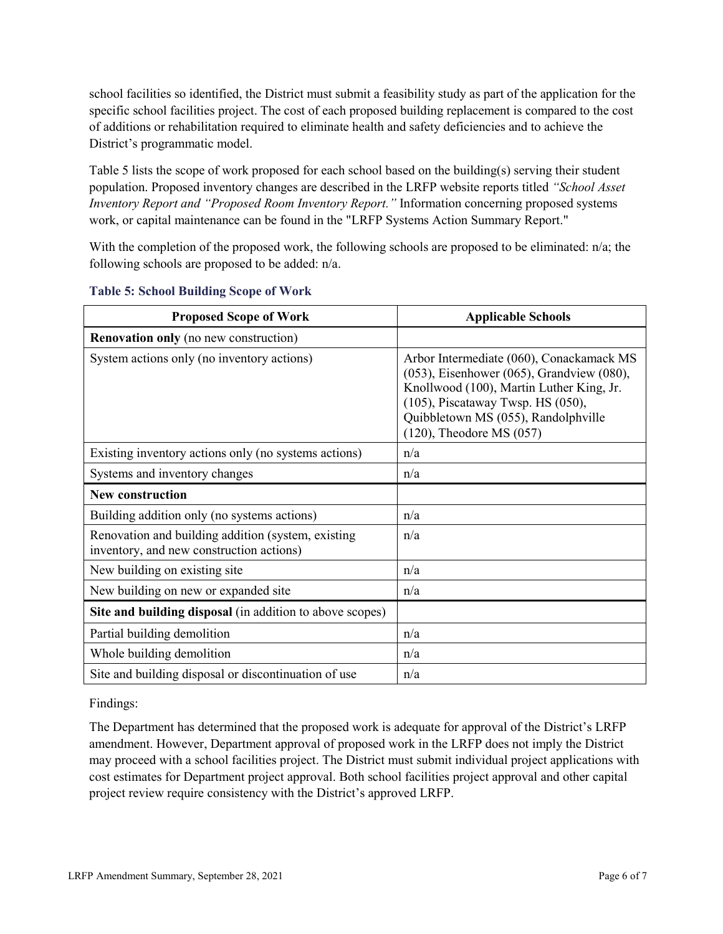school facilities so identified, the District must submit a feasibility study as part of the application for the specific school facilities project. The cost of each proposed building replacement is compared to the cost of additions or rehabilitation required to eliminate health and safety deficiencies and to achieve the District's programmatic model.

Table 5 lists the scope of work proposed for each school based on the building(s) serving their student population. Proposed inventory changes are described in the LRFP website reports titled *"School Asset Inventory Report and "Proposed Room Inventory Report."* Information concerning proposed systems work, or capital maintenance can be found in the "LRFP Systems Action Summary Report."

With the completion of the proposed work, the following schools are proposed to be eliminated: n/a; the following schools are proposed to be added: n/a.

| <b>Proposed Scope of Work</b>                                                                  | <b>Applicable Schools</b>                                                                                                                                                                                                                               |
|------------------------------------------------------------------------------------------------|---------------------------------------------------------------------------------------------------------------------------------------------------------------------------------------------------------------------------------------------------------|
| <b>Renovation only</b> (no new construction)                                                   |                                                                                                                                                                                                                                                         |
| System actions only (no inventory actions)                                                     | Arbor Intermediate (060), Conackamack MS<br>$(053)$ , Eisenhower $(065)$ , Grandview $(080)$ ,<br>Knollwood (100), Martin Luther King, Jr.<br>(105), Piscataway Twsp. HS (050),<br>Quibbletown MS (055), Randolphville<br>$(120)$ , Theodore MS $(057)$ |
| Existing inventory actions only (no systems actions)                                           | n/a                                                                                                                                                                                                                                                     |
| Systems and inventory changes                                                                  | n/a                                                                                                                                                                                                                                                     |
| <b>New construction</b>                                                                        |                                                                                                                                                                                                                                                         |
| Building addition only (no systems actions)                                                    | n/a                                                                                                                                                                                                                                                     |
| Renovation and building addition (system, existing<br>inventory, and new construction actions) | n/a                                                                                                                                                                                                                                                     |
| New building on existing site                                                                  | n/a                                                                                                                                                                                                                                                     |
| New building on new or expanded site                                                           | n/a                                                                                                                                                                                                                                                     |
| Site and building disposal (in addition to above scopes)                                       |                                                                                                                                                                                                                                                         |
| Partial building demolition                                                                    | n/a                                                                                                                                                                                                                                                     |
| Whole building demolition                                                                      | n/a                                                                                                                                                                                                                                                     |
| Site and building disposal or discontinuation of use                                           | n/a                                                                                                                                                                                                                                                     |

#### **Table 5: School Building Scope of Work**

Findings:

The Department has determined that the proposed work is adequate for approval of the District's LRFP amendment. However, Department approval of proposed work in the LRFP does not imply the District may proceed with a school facilities project. The District must submit individual project applications with cost estimates for Department project approval. Both school facilities project approval and other capital project review require consistency with the District's approved LRFP.